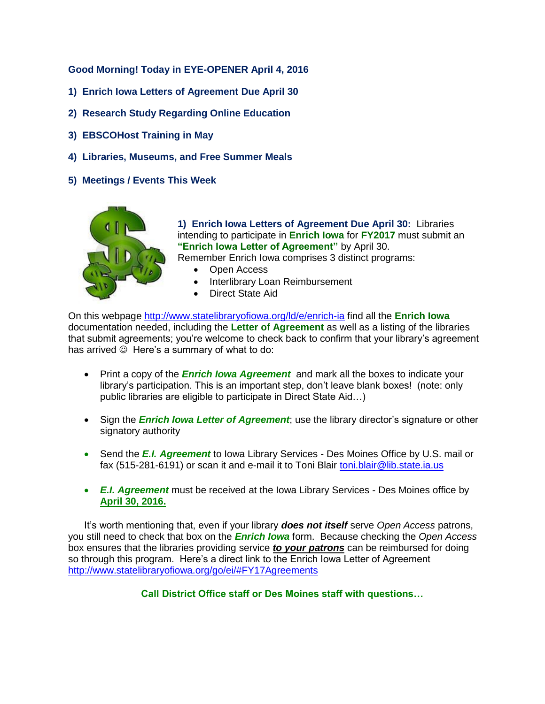**Good Morning! Today in EYE-OPENER April 4, 2016**

- **1) Enrich Iowa Letters of Agreement Due April 30**
- **2) Research Study Regarding Online Education**
- **3) EBSCOHost Training in May**
- **4) Libraries, Museums, and Free Summer Meals**
- **5) Meetings / Events This Week**



**1) Enrich Iowa Letters of Agreement Due April 30:** Libraries intending to participate in **Enrich Iowa** for **FY2017** must submit an **"Enrich Iowa Letter of Agreement"** by April 30. Remember Enrich Iowa comprises 3 distinct programs:

- Open Access
- Interlibrary Loan Reimbursement
- Direct State Aid

On this webpage<http://www.statelibraryofiowa.org/ld/e/enrich-ia> find all the **Enrich Iowa** documentation needed, including the **Letter of Agreement** as well as a listing of the libraries that submit agreements; you're welcome to check back to confirm that your library's agreement has arrived  $\odot$  Here's a summary of what to do:

- Print a copy of the *Enrich Iowa Agreement* and mark all the boxes to indicate your library's participation. This is an important step, don't leave blank boxes! (note: only public libraries are eligible to participate in Direct State Aid…)
- Sign the *Enrich Iowa Letter of Agreement*; use the library director's signature or other signatory authority
- Send the *E.I. Agreement* to Iowa Library Services Des Moines Office by U.S. mail or fax (515-281-6191) or scan it and e-mail it to Toni Blair [toni.blair@lib.state.ia.us](mailto:toni.blair@lib.state.ia.us)
- *E.I. Agreement* must be received at the Iowa Library Services Des Moines office by **April 30, 2016.**

It's worth mentioning that, even if your library *does not itself* serve *Open Access* patrons, you still need to check that box on the *Enrich Iowa* form. Because checking the *Open Access* box ensures that the libraries providing service *to your patrons* can be reimbursed for doing so through this program. Here's a direct link to the Enrich Iowa Letter of Agreement <http://www.statelibraryofiowa.org/go/ei/#FY17Agreements>

**Call District Office staff or Des Moines staff with questions…**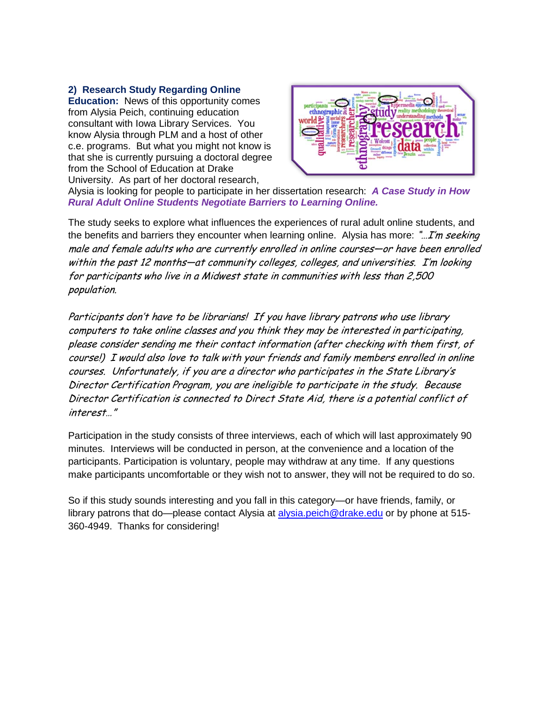## **2) Research Study Regarding Online**

**Education:** News of this opportunity comes from Alysia Peich, continuing education consultant with Iowa Library Services. You know Alysia through PLM and a host of other c.e. programs. But what you might not know is that she is currently pursuing a doctoral degree from the School of Education at Drake University. As part of her doctoral research,



Alysia is looking for people to participate in her dissertation research: *A Case Study in How Rural Adult Online Students Negotiate Barriers to Learning Online.* 

The study seeks to explore what influences the experiences of rural adult online students, and the benefits and barriers they encounter when learning online. Alysia has more:  $\mathcal{L}$ m seeking male and female adults who are currently enrolled in online courses—or have been enrolled within the past 12 months—at community colleges, colleges, and universities. I'm looking for participants who live in a Midwest state in communities with less than 2,500 population.

Participants don't have to be librarians! If you have library patrons who use library computers to take online classes and you think they may be interested in participating, please consider sending me their contact information (after checking with them first, of course!) I would also love to talk with your friends and family members enrolled in online courses. Unfortunately, if you are a director who participates in the State Library's Director Certification Program, you are ineligible to participate in the study. Because Director Certification is connected to Direct State Aid, there is a potential conflict of interest…"

Participation in the study consists of three interviews, each of which will last approximately 90 minutes. Interviews will be conducted in person, at the convenience and a location of the participants. Participation is voluntary, people may withdraw at any time. If any questions make participants uncomfortable or they wish not to answer, they will not be required to do so.

So if this study sounds interesting and you fall in this category—or have friends, family, or library patrons that do—please contact Alysia at [alysia.peich@drake.edu](mailto:alysia.peich@drake.edu) or by phone at 515-360-4949. Thanks for considering!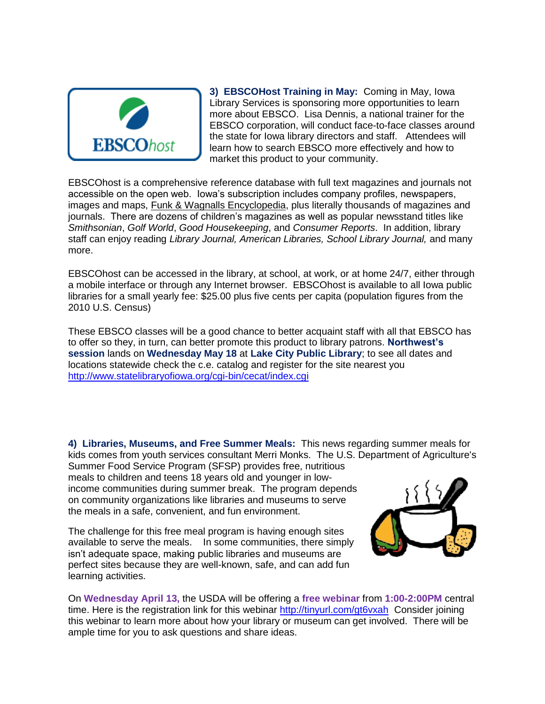

**3) EBSCOHost Training in May:** Coming in May, Iowa Library Services is sponsoring more opportunities to learn more about EBSCO. Lisa Dennis, a national trainer for the EBSCO corporation, will conduct face-to-face classes around the state for Iowa library directors and staff. Attendees will learn how to search EBSCO more effectively and how to market this product to your community.

EBSCOhost is a comprehensive reference database with full text magazines and journals not accessible on the open web. Iowa's subscription includes company profiles, newspapers, images and maps, Funk & Wagnalls Encyclopedia, plus literally thousands of magazines and journals. There are dozens of children's magazines as well as popular newsstand titles like *Smithsonian*, *Golf World*, *Good Housekeeping*, and *Consumer Reports*. In addition, library staff can enjoy reading *Library Journal, American Libraries, School Library Journal,* and many more.

EBSCOhost can be accessed in the library, at school, at work, or at home 24/7, either through a mobile interface or through any Internet browser. EBSCOhost is available to all Iowa public libraries for a small yearly fee: \$25.00 plus five cents per capita (population figures from the 2010 U.S. Census)

These EBSCO classes will be a good chance to better acquaint staff with all that EBSCO has to offer so they, in turn, can better promote this product to library patrons. **Northwest's session** lands on **Wednesday May 18** at **Lake City Public Library**; to see all dates and locations statewide check the c.e. catalog and register for the site nearest you <http://www.statelibraryofiowa.org/cgi-bin/cecat/index.cgi>

**4) Libraries, Museums, and Free Summer Meals:** This news regarding summer meals for kids comes from youth services consultant Merri Monks. The U.S. Department of Agriculture's Summer Food Service Program (SFSP) provides free, nutritious meals to children and teens 18 years old and younger in low-

income communities during summer break. The program depends on community organizations like libraries and museums to serve the meals in a safe, convenient, and fun environment.

The challenge for this free meal program is having enough sites available to serve the meals. In some communities, there simply isn't adequate space, making public libraries and museums are perfect sites because they are well-known, safe, and can add fun learning activities.



On **Wednesday April 13,** the USDA will be offering a **free webinar** from **1:00-2:00PM** central time. Here is the registration link for this webinar<http://tinyurl.com/gt6vxah>Consider joining this webinar to learn more about how your library or museum can get involved. There will be ample time for you to ask questions and share ideas.